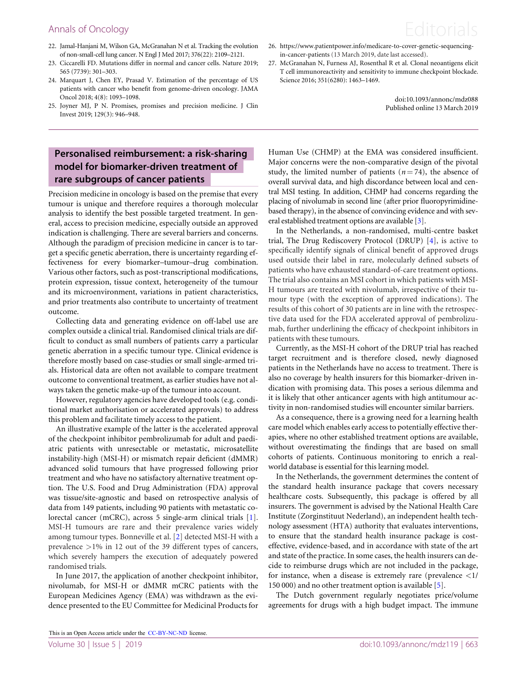## Annals of Oncology **Editorials**

- 22. Jamal-Hanjani M, Wilson GA, McGranahan N et al. Tracking the evolution of non-small-cell lung cancer. N Engl J Med 2017; 376(22): 2109–2121.
- 23. Ciccarelli FD. Mutations differ in normal and cancer cells. Nature 2019; 565 (7739): 301–303.
- 24. Marquart J, Chen EY, Prasad V. Estimation of the percentage of US patients with cancer who benefit from genome-driven oncology. JAMA Oncol 2018; 4(8): 1093–1098.
- 25. Joyner MJ, P N. Promises, promises and precision medicine. J Clin Invest 2019; 129(3): 946–948.

## Personalised reimbursement: a risk-sharing model for biomarker-driven treatment of rare subgroups of cancer patients

Precision medicine in oncology is based on the premise that every tumour is unique and therefore requires a thorough molecular analysis to identify the best possible targeted treatment. In general, access to precision medicine, especially outside an approved indication is challenging. There are several barriers and concerns. Although the paradigm of precision medicine in cancer is to target a specific genetic aberration, there is uncertainty regarding effectiveness for every biomarker–tumour–drug combination. Various other factors, such as post-transcriptional modifications, protein expression, tissue context, heterogeneity of the tumour and its microenvironment, variations in patient characteristics, and prior treatments also contribute to uncertainty of treatment outcome.

Collecting data and generating evidence on off-label use are complex outside a clinical trial. Randomised clinical trials are difficult to conduct as small numbers of patients carry a particular genetic aberration in a specific tumour type. Clinical evidence is therefore mostly based on case-studies or small single-armed trials. Historical data are often not available to compare treatment outcome to conventional treatment, as earlier studies have not always taken the genetic make-up of the tumour into account.

However, regulatory agencies have developed tools (e.g. conditional market authorisation or accelerated approvals) to address this problem and facilitate timely access to the patient.

An illustrative example of the latter is the accelerated approval of the checkpoint inhibitor pembrolizumab for adult and paediatric patients with unresectable or metastatic, microsatellite instability-high (MSI-H) or mismatch repair deficient (dMMR) advanced solid tumours that have progressed following prior treatment and who have no satisfactory alternative treatment option. The U.S. Food and Drug Administration (FDA) approval was tissue/site-agnostic and based on retrospective analysis of data from 149 patients, including 90 patients with metastatic colorectal cancer (mCRC), across 5 single-arm clinical trials [[1](#page-2-0)]. MSI-H tumours are rare and their prevalence varies widely among tumour types. Bonneville et al. [[2](#page-2-0)] detected MSI-H with a prevalence >1% in 12 out of the 39 different types of cancers, which severely hampers the execution of adequately powered randomised trials.

In June 2017, the application of another checkpoint inhibitor, nivolumab, for MSI-H or dMMR mCRC patients with the European Medicines Agency (EMA) was withdrawn as the evidence presented to the EU Committee for Medicinal Products for



27. McGranahan N, Furness AJ, Rosenthal R et al. Clonal neoantigens elicit T cell immunoreactivity and sensitivity to immune checkpoint blockade. Science 2016; 351(6280): 1463–1469.

> doi:10.1093/annonc/mdz088 Published online 13 March 2019

Human Use (CHMP) at the EMA was considered insufficient. Major concerns were the non-comparative design of the pivotal study, the limited number of patients ( $n = 74$ ), the absence of overall survival data, and high discordance between local and central MSI testing. In addition, CHMP had concerns regarding the placing of nivolumab in second line (after prior fluoropyrimidinebased therapy), in the absence of convincing evidence and with several established treatment options are available [[3](#page-2-0)].

In the Netherlands, a non-randomised, multi-centre basket trial, The Drug Rediscovery Protocol (DRUP) [\[4\]](#page-2-0), is active to specifically identify signals of clinical benefit of approved drugs used outside their label in rare, molecularly defined subsets of patients who have exhausted standard-of-care treatment options. The trial also contains an MSI cohort in which patients with MSI-H tumours are treated with nivolumab, irrespective of their tumour type (with the exception of approved indications). The results of this cohort of 30 patients are in line with the retrospective data used for the FDA accelerated approval of pembrolizumab, further underlining the efficacy of checkpoint inhibitors in patients with these tumours.

Currently, as the MSI-H cohort of the DRUP trial has reached target recruitment and is therefore closed, newly diagnosed patients in the Netherlands have no access to treatment. There is also no coverage by health insurers for this biomarker-driven indication with promising data. This poses a serious dilemma and it is likely that other anticancer agents with high antitumour activity in non-randomised studies will encounter similar barriers.

As a consequence, there is a growing need for a learning health care model which enables early access to potentially effective therapies, where no other established treatment options are available, without overestimating the findings that are based on small cohorts of patients. Continuous monitoring to enrich a realworld database is essential for this learning model.

In the Netherlands, the government determines the content of the standard health insurance package that covers necessary healthcare costs. Subsequently, this package is offered by all insurers. The government is advised by the National Health Care Institute (Zorginstituut Nederland), an independent health technology assessment (HTA) authority that evaluates interventions, to ensure that the standard health insurance package is costeffective, evidence-based, and in accordance with state of the art and state of the practice. In some cases, the health insurers can decide to reimburse drugs which are not included in the package, for instance, when a disease is extremely rare (prevalence  $\langle 1 \rangle$ 150 000) and no other treatment option is available [[5](#page-2-0)].

The Dutch government regularly negotiates price/volume agreements for drugs with a high budget impact. The immune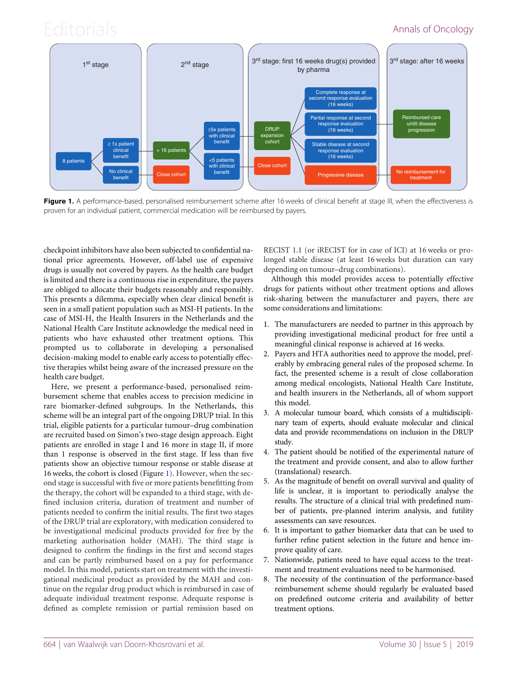# Editorials **Annals of Oncology**



Figure 1. A performance-based, personalised reimbursement scheme after 16 weeks of clinical benefit at stage III, when the effectiveness is proven for an individual patient, commercial medication will be reimbursed by payers.

checkpoint inhibitors have also been subjected to confidential national price agreements. However, off-label use of expensive drugs is usually not covered by payers. As the health care budget is limited and there is a continuous rise in expenditure, the payers are obliged to allocate their budgets reasonably and responsibly. This presents a dilemma, especially when clear clinical benefit is seen in a small patient population such as MSI-H patients. In the case of MSI-H, the Health Insurers in the Netherlands and the National Health Care Institute acknowledge the medical need in patients who have exhausted other treatment options. This prompted us to collaborate in developing a personalised decision-making model to enable early access to potentially effective therapies whilst being aware of the increased pressure on the health care budget.

Here, we present a performance-based, personalised reimbursement scheme that enables access to precision medicine in rare biomarker-defined subgroups. In the Netherlands, this scheme will be an integral part of the ongoing DRUP trial. In this trial, eligible patients for a particular tumour–drug combination are recruited based on Simon's two-stage design approach. Eight patients are enrolled in stage I and 16 more in stage II, if more than 1 response is observed in the first stage. If less than five patients show an objective tumour response or stable disease at 16 weeks, the cohort is closed (Figure 1). However, when the second stage is successful with five or more patients benefitting from the therapy, the cohort will be expanded to a third stage, with defined inclusion criteria, duration of treatment and number of patients needed to confirm the initial results. The first two stages of the DRUP trial are exploratory, with medication considered to be investigational medicinal products provided for free by the marketing authorisation holder (MAH). The third stage is designed to confirm the findings in the first and second stages and can be partly reimbursed based on a pay for performance model. In this model, patients start on treatment with the investigational medicinal product as provided by the MAH and continue on the regular drug product which is reimbursed in case of adequate individual treatment response. Adequate response is defined as complete remission or partial remission based on

RECIST 1.1 (or iRECIST for in case of ICI) at 16 weeks or prolonged stable disease (at least 16 weeks but duration can vary depending on tumour–drug combinations).

Although this model provides access to potentially effective drugs for patients without other treatment options and allows risk-sharing between the manufacturer and payers, there are some considerations and limitations:

- 1. The manufacturers are needed to partner in this approach by providing investigational medicinal product for free until a meaningful clinical response is achieved at 16 weeks.
- 2. Payers and HTA authorities need to approve the model, preferably by embracing general rules of the proposed scheme. In fact, the presented scheme is a result of close collaboration among medical oncologists, National Health Care Institute, and health insurers in the Netherlands, all of whom support this model.
- 3. A molecular tumour board, which consists of a multidisciplinary team of experts, should evaluate molecular and clinical data and provide recommendations on inclusion in the DRUP study.
- 4. The patient should be notified of the experimental nature of the treatment and provide consent, and also to allow further (translational) research.
- 5. As the magnitude of benefit on overall survival and quality of life is unclear, it is important to periodically analyse the results. The structure of a clinical trial with predefined number of patients, pre-planned interim analysis, and futility assessments can save resources.
- 6. It is important to gather biomarker data that can be used to further refine patient selection in the future and hence improve quality of care.
- 7. Nationwide, patients need to have equal access to the treatment and treatment evaluations need to be harmonised.
- 8. The necessity of the continuation of the performance-based reimbursement scheme should regularly be evaluated based on predefined outcome criteria and availability of better treatment options.